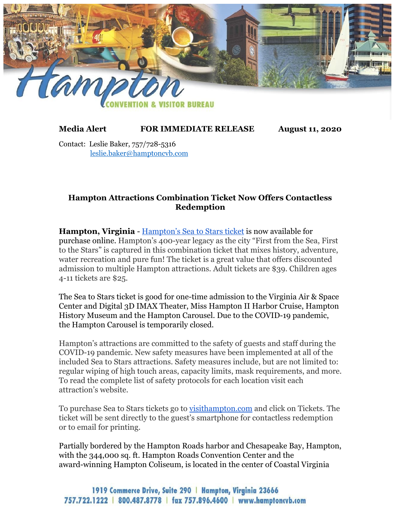

## **Media Alert FOR IMMEDIATE RELEASE August 11, 2020**

Contact: Leslie Baker, 757/728-5316 leslie.baker@hamptoncvb.com

## **Hampton Attractions Combination Ticket Now Offers Contactless Redemption**

**Hampton, Virginia** - [Hampton's Sea to Stars ticket](https://www.visithampton.com/sea-to-stars-tickets/) is now available for purchase online. Hampton's 400-year legacy as the city "First from the Sea, First to the Stars" is captured in this combination ticket that mixes history, adventure, water recreation and pure fun! The ticket is a great value that offers discounted admission to multiple Hampton attractions. Adult tickets are \$39. Children ages 4-11 tickets are \$25.

The Sea to Stars ticket is good for one-time admission to the Virginia Air & Space Center and Digital 3D IMAX Theater, Miss Hampton II Harbor Cruise, Hampton History Museum and the Hampton Carousel. Due to the COVID-19 pandemic, the Hampton Carousel is temporarily closed.

Hampton's attractions are committed to the safety of guests and staff during the COVID-19 pandemic. New safety measures have been implemented at all of the included Sea to Stars attractions. Safety measures include, but are not limited to: regular wiping of high touch areas, capacity limits, mask requirements, and more. To read the complete list of safety protocols for each location visit each attraction's website.

To purchase Sea to Stars tickets go to <u>visithampton.com</u> and click on Tickets. The ticket will be sent directly to the guest's smartphone for contactless redemption or to email for printing.

Partially bordered by the Hampton Roads harbor and Chesapeake Bay, Hampton, with the 344,000 sq. ft. Hampton Roads Convention Center and the award-winning Hampton Coliseum, is located in the center of Coastal Virginia

1919 Commerce Drive, Suite 290 | Hampton, Virginia 23666 757.722.1222 | 800.487.8778 | fax 757.896.4600 | www.hamptoncyb.com